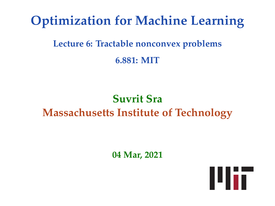# **Optimization for Machine Learning**

# **Lecture 6: Tractable nonconvex problems 6.881: MIT**

# **Suvrit Sra Massachusetts Institute of Technology**

**04 Mar, 2021**

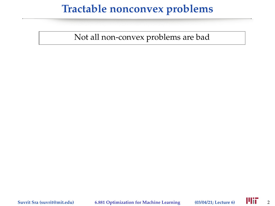#### **Tractable nonconvex problems**

Not all non-convex problems are bad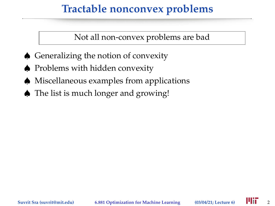#### **Tractable nonconvex problems**

Not all non-convex problems are bad

- ♠ Generalizing the notion of convexity
- ♠ Problems with hidden convexity
- ♠ Miscellaneous examples from applications
- ♠ The list is much longer and growing!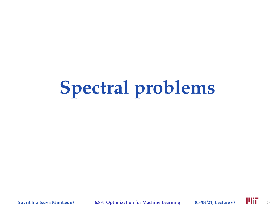# **Spectral problems**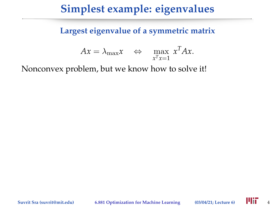**Largest eigenvalue of a symmetric matrix**

$$
Ax = \lambda_{\max} x \quad \Leftrightarrow \quad \max_{x^T x = 1} x^T Ax.
$$

Nonconvex problem, but we know how to solve it!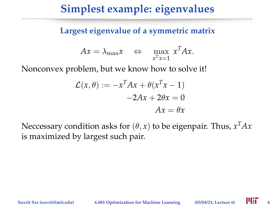**Largest eigenvalue of a symmetric matrix**

$$
Ax = \lambda_{\max} x \quad \Leftrightarrow \quad \max_{x^T x = 1} x^T Ax.
$$

Nonconvex problem, but we know how to solve it!

$$
\mathcal{L}(x,\theta) := -x^T A x + \theta (x^T x - 1)
$$

$$
-2Ax + 2\theta x = 0
$$

$$
Ax = \theta x
$$

Neccessary condition asks for  $(\theta, x)$  to be eigenpair. Thus*,*  $x^T A x$ is maximized by largest such pair.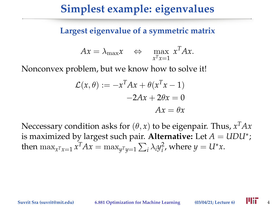**Largest eigenvalue of a symmetric matrix**

$$
Ax = \lambda_{\max} x \quad \Leftrightarrow \quad \max_{x^T x = 1} x^T Ax.
$$

Nonconvex problem, but we know how to solve it!

$$
\mathcal{L}(x,\theta) := -x^T A x + \theta (x^T x - 1)
$$

$$
-2Ax + 2\theta x = 0
$$

$$
Ax = \theta x
$$

Neccessary condition asks for  $(\theta, x)$  to be eigenpair. Thus*,*  $x^T A x$ is maximized by largest such pair. **Alternative:** Let *A* = *UDU*<sup>∗</sup> ; then  $\max_{x^T x = 1} x^T A x = \max_{y^T y = 1} \sum_i \lambda_i y_i^2$ , where  $y = U^* x$ .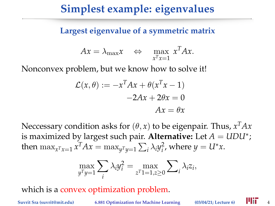**Largest eigenvalue of a symmetric matrix**

$$
Ax = \lambda_{\max} x \quad \Leftrightarrow \quad \max_{x^T x = 1} x^T Ax.
$$

Nonconvex problem, but we know how to solve it!

$$
\mathcal{L}(x,\theta) := -x^T A x + \theta (x^T x - 1)
$$

$$
-2Ax + 2\theta x = 0
$$

$$
Ax = \theta x
$$

Neccessary condition asks for  $(\theta, x)$  to be eigenpair. Thus*,*  $x^T A x$ is maximized by largest such pair. **Alternative:** Let *A* = *UDU*<sup>∗</sup> ; then  $\max_{x^T x = 1} x^T A x = \max_{y^T y = 1} \sum_i \lambda_i y_i^2$ , where  $y = U^* x$ .

$$
\max_{y^T y = 1} \sum_i \lambda_i y_i^2 = \max_{z^T 1 = 1, z \ge 0} \sum_i \lambda_i z_i,
$$

which is a convex optimization problem.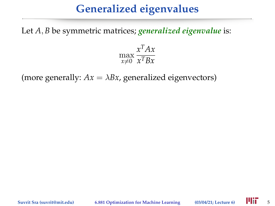# **Generalized eigenvalues**

Let *A*, *B* be symmetric matrices; *generalized eigenvalue* is:

$$
\max_{x \neq 0} \frac{x^T A x}{x^T B x}
$$

(more generally:  $Ax = \lambda Bx$ , generalized eigenvectors)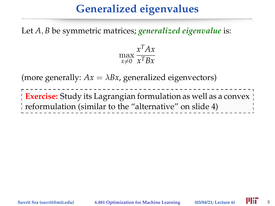# **Generalized eigenvalues**

Let *A*, *B* be symmetric matrices; *generalized eigenvalue* is:



(more generally:  $Ax = \lambda Bx$ , generalized eigenvectors)

**Exercise:** Study its Lagrangian formulation as well as a convex reformulation (similar to the "alternative" on slide 4)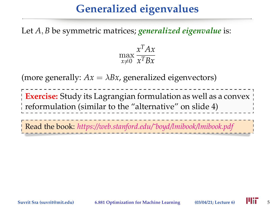# **Generalized eigenvalues**

Let *A*, *B* be symmetric matrices; *generalized eigenvalue* is:



(more generally:  $Ax = \lambda Bx$ , generalized eigenvectors)

**Exercise:** Study its Lagrangian formulation as well as a convex reformulation (similar to the "alternative" on slide 4)

Read the book: *[https://web.stanford.edu/˜boyd/lmibook/lmibook.pdf](https://web.stanford.edu/~boyd/lmibook/lmibook.pdf)*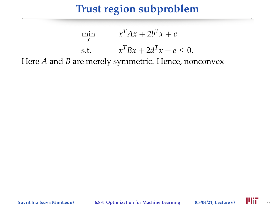#### **Trust region subproblem**

$$
\min_{x} \qquad x^{T}Ax + 2b^{T}x + c
$$
\n
$$
\text{s.t.} \qquad x^{T}Bx + 2d^{T}x + e \leq 0.
$$

Here *A* and *B* are merely symmetric. Hence, nonconvex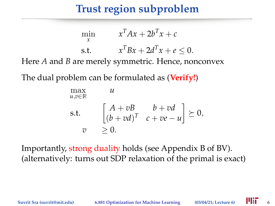#### **Trust region subproblem**

$$
\min_{x} \qquad x^{T}Ax + 2b^{T}x + c
$$
\n
$$
\text{s.t.} \qquad x^{T}Bx + 2d^{T}x + e \leq 0.
$$

Here *A* and *B* are merely symmetric. Hence, nonconvex

The dual problem can be formulated as (**Verify!**)

$$
\begin{array}{ll}\n\max_{u,v\in\mathbb{R}} & u \\
\text{s.t.} & \begin{bmatrix} A+vB & b+vd \\ (b+vd)^T & c+ve-u \end{bmatrix} \succeq 0, \\
v &\geq 0.\n\end{array}
$$

Importantly, strong duality holds (see Appendix B of BV). (alternatively: turns out SDP relaxation of the primal is exact)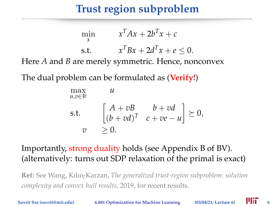### **Trust region subproblem**

$$
\min_{x} \qquad x^{T}Ax + 2b^{T}x + c
$$
\n
$$
\text{s.t.} \qquad x^{T}Bx + 2d^{T}x + e \leq 0.
$$

Here *A* and *B* are merely symmetric. Hence, nonconvex

The dual problem can be formulated as (**Verify!**)

$$
\begin{array}{ll}\n\max_{u,v\in\mathbb{R}} & u \\
\text{s.t.} & \begin{bmatrix} A+vB & b+vd \\ (b+vd)^T & c+ve-u \end{bmatrix} \succeq 0, \\
v &\geq 0.\n\end{array}
$$

#### Importantly, strong duality holds (see Appendix B of BV). (alternatively: turns out SDP relaxation of the primal is exact)

**Ref:** See Wang, Kılın¸-Karzan, *The generalized trust-region subproblem: solution complexity and convex hull results*, 2019, for recent results.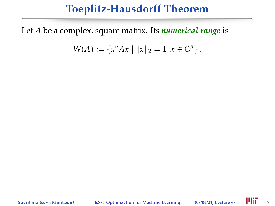#### **Toeplitz-Hausdorff Theorem**

Let *A* be a complex, square matrix. Its *numerical range* is

$$
W(A) := \{x^*Ax \mid ||x||_2 = 1, x \in \mathbb{C}^n\}.
$$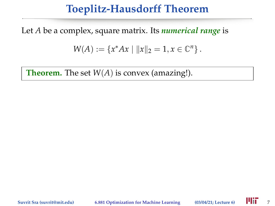#### **Toeplitz-Hausdorff Theorem**

Let *A* be a complex, square matrix. Its *numerical range* is

$$
W(A) := \{x^*Ax \mid ||x||_2 = 1, x \in \mathbb{C}^n\}.
$$

**Theorem.** The set *W*(*A*) is convex (amazing!).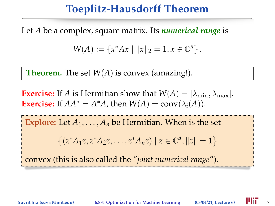#### **Toeplitz-Hausdorff Theorem**

Let *A* be a complex, square matrix. Its *numerical range* is

$$
W(A) := \{x^*Ax \mid ||x||_2 = 1, x \in \mathbb{C}^n\}.
$$

**Theorem.** The set *W*(*A*) is convex (amazing!).

**Exercise:** If *A* is Hermitian show that  $W(A) = [\lambda_{\min}, \lambda_{\max}]$ . **Exercise:** If  $AA^* = A^*A$ , then  $W(A) = \text{conv}(\lambda_i(A)).$ 

**Explore:** Let  $A_1, \ldots, A_n$  be Hermitian. When is the set

$$
\{(z^*A_1z, z^*A_2z, \dots, z^*A_nz) \mid z \in \mathbb{C}^d, \|z\| = 1\}
$$

convex (this is also called the "*joint numerical range*").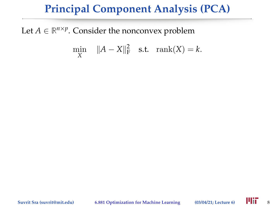#### **Principal Component Analysis (PCA)**

Let  $A \in \mathbb{R}^{n \times p}$ . Consider the nonconvex problem

$$
\min_X \quad \|A - X\|_{\mathcal{F}}^2 \quad \text{s.t.} \quad \text{rank}(X) = k.
$$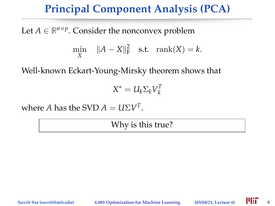#### **Principal Component Analysis (PCA)**

Let  $A \in \mathbb{R}^{n \times p}$ . Consider the nonconvex problem

$$
\min_X \quad \|A - X\|_{\mathcal{F}}^2 \quad \text{s.t.} \quad \text{rank}(X) = k.
$$

Well-known Eckart-Young-Mirsky theorem shows that

$$
X^* = U_k \Sigma_k V_k^T
$$

where *A* has the SVD  $A = U\Sigma V^T$ .

Why is this true?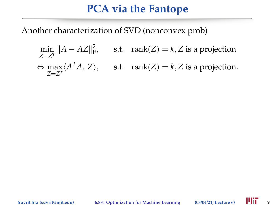Another characterization of SVD (nonconvex prob)

$$
\min_{Z=Z^T} ||A - AZ||_{\mathbf{F}}^2, \qquad \text{s.t.} \quad \text{rank}(Z) = k, Z \text{ is a projection}
$$
\n
$$
\Leftrightarrow \max_{Z=Z^T} \langle A^T A, Z \rangle, \qquad \text{s.t.} \quad \text{rank}(Z) = k, Z \text{ is a projection.}
$$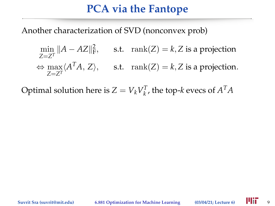Another characterization of SVD (nonconvex prob)

$$
\min_{Z=Z^T} ||A - AZ||_F^2, \qquad \text{s.t.} \quad \text{rank}(Z) = k, Z \text{ is a projection}
$$
\n
$$
\Leftrightarrow \max_{Z=Z^T} \langle A^T A, Z \rangle, \qquad \text{s.t.} \quad \text{rank}(Z) = k, Z \text{ is a projection.}
$$

Optimal solution here is  $Z = V_k V_k^T$ , the top-*k* evecs of  $A^T A$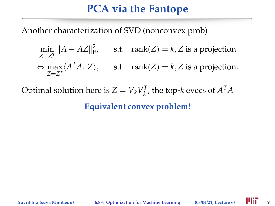Another characterization of SVD (nonconvex prob)

$$
\min_{Z=Z^T} ||A - AZ||_F^2, \qquad \text{s.t.} \quad \text{rank}(Z) = k, Z \text{ is a projection}
$$
\n
$$
\Leftrightarrow \max_{Z=Z^T} \langle A^T A, Z \rangle, \qquad \text{s.t.} \quad \text{rank}(Z) = k, Z \text{ is a projection.}
$$

Optimal solution here is  $Z = V_k V_k^T$ , the top-*k* evecs of  $A^T A$ 

**Equivalent convex problem!**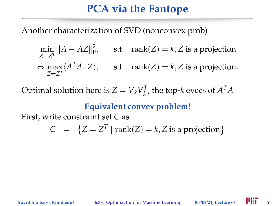Another characterization of SVD (nonconvex prob)

$$
\min_{Z=Z^T} ||A - AZ||_F^2, \qquad \text{s.t.} \quad \text{rank}(Z) = k, Z \text{ is a projection}
$$
\n
$$
\Leftrightarrow \max_{Z=Z^T} \langle A^T A, Z \rangle, \qquad \text{s.t.} \quad \text{rank}(Z) = k, Z \text{ is a projection.}
$$

Optimal solution here is  $Z = V_k V_k^T$ , the top-*k* evecs of  $A^T A$ 

#### **Equivalent convex problem!**

First, write constraint set *C* as

$$
C = \{Z = Z^T \mid \text{rank}(Z) = k, Z \text{ is a projection}\}
$$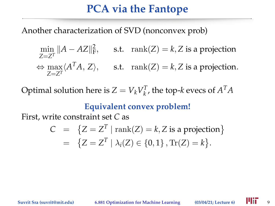Another characterization of SVD (nonconvex prob)

$$
\min_{Z=Z^T} ||A - AZ||_F^2, \qquad \text{s.t.} \quad \text{rank}(Z) = k, Z \text{ is a projection}
$$
\n
$$
\Leftrightarrow \max_{Z=Z^T} \langle A^T A, Z \rangle, \qquad \text{s.t.} \quad \text{rank}(Z) = k, Z \text{ is a projection.}
$$

Optimal solution here is  $Z = V_k V_k^T$ , the top-*k* evecs of  $A^T A$ 

#### **Equivalent convex problem!**

First, write constraint set *C* as

$$
C = \{Z = Z^T | \text{rank}(Z) = k, Z \text{ is a projection} \}
$$
  
=  $\{Z = Z^T | \lambda_i(Z) \in \{0, 1\}, \text{Tr}(Z) = k \}.$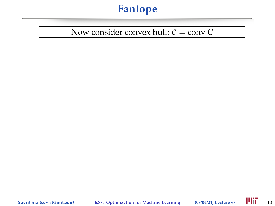#### Now consider convex hull:  $C = \text{conv } C$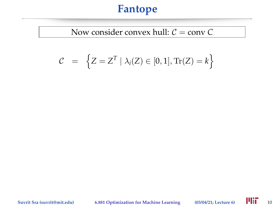#### Now consider convex hull:  $C = \text{conv } C$

$$
C = \left\{ Z = Z^T \mid \lambda_i(Z) \in [0,1], \text{Tr}(Z) = k \right\}
$$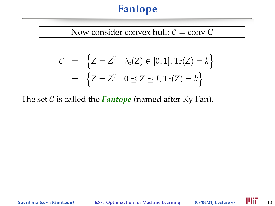#### Now consider convex hull:  $C = \text{conv } C$

$$
C = \left\{ Z = Z^T \mid \lambda_i(Z) \in [0,1], \text{Tr}(Z) = k \right\}
$$

$$
= \left\{ Z = Z^T \mid 0 \le Z \le I, \text{Tr}(Z) = k \right\}.
$$

The set  $C$  is called the **Fantope** (named after Ky Fan).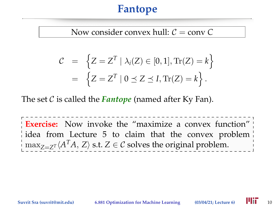#### Now consider convex hull:  $C = \text{conv } C$

$$
\mathcal{C} = \left\{ Z = Z^T \mid \lambda_i(Z) \in [0, 1], \text{Tr}(Z) = k \right\}
$$

$$
= \left\{ Z = Z^T \mid 0 \le Z \le I, \text{Tr}(Z) = k \right\}.
$$

The set C is called the *Fantope* (named after Ky Fan).

**Exercise:** Now invoke the "maximize a convex function" idea from Lecture 5 to claim that the convex problem  $\max_{Z = Z^T} \langle A^T A, Z \rangle$  s.t.  $Z \in \mathcal{C}$  solves the original problem.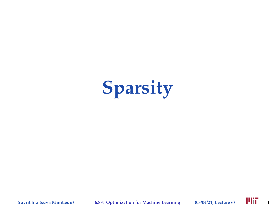# **Sparsity**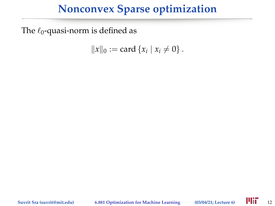The  $\ell_0$ -quasi-norm is defined as

$$
||x||_0 := \text{card } \{x_i \mid x_i \neq 0\}.
$$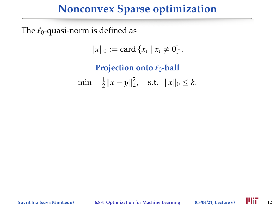The  $\ell_0$ -quasi-norm is defined as

$$
||x||_0 := \text{card } \{x_i \mid x_i \neq 0\}.
$$

**Projection onto**  $\ell_0$ -ball  $\min \quad \frac{1}{2} \|x - y\|_2^2, \quad \text{s.t.} \quad \|x\|_0 \leq k.$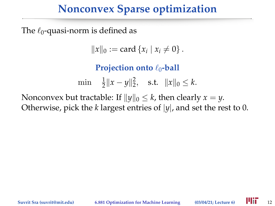The  $\ell_0$ -quasi-norm is defined as

$$
||x||_0 := \text{card } \{x_i \mid x_i \neq 0\}.
$$

**Projection onto**  $\ell_0$ -ball

 $\min \quad \frac{1}{2} \|x - y\|_2^2, \quad \text{s.t.} \quad \|x\|_0 \leq k.$ 

Nonconvex but tractable: If  $||y||_0 \le k$ , then clearly  $x = y$ . Otherwise, pick the *k* largest entries of |*y*|, and set the rest to 0.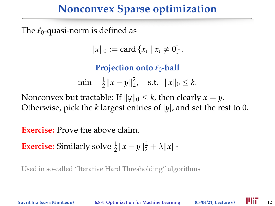The  $\ell_0$ -quasi-norm is defined as

$$
||x||_0 := \text{card } \{x_i \mid x_i \neq 0\}.
$$

**Projection onto**  $\ell_0$ -ball

 $\min \quad \frac{1}{2} \|x - y\|_2^2, \quad \text{s.t.} \quad \|x\|_0 \leq k.$ 

Nonconvex but tractable: If  $\|y\|_0 \leq k$ , then clearly  $x = y$ . Otherwise, pick the *k* largest entries of |*y*|, and set the rest to 0.

**Exercise:** Prove the above claim.

**Exercise:** Similarly solve  $\frac{1}{2} ||x - y||_2^2 + \lambda ||x||_0$ 

Used in so-called "Iterative Hard Thresholding" algorithms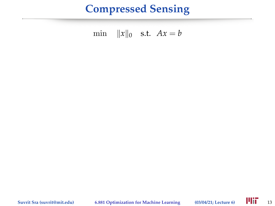#### **Compressed Sensing**

min  $||x||_0$  s.t.  $Ax = b$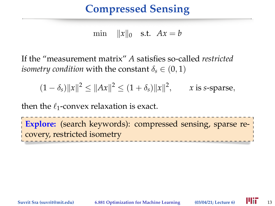## **Compressed Sensing**

min  $||x||_0$  s.t.  $Ax = b$ 

If the "measurement matrix" *A* satisfies so-called *restricted isometry condition* with the constant  $\delta_s \in (0,1)$ 

 $(1 - \delta_s) \|x\|^2 \le \|Ax\|^2 \le (1 + \delta_s) \|x\|^2$ , *x* is *s*-sparse,

then the  $\ell_1$ -convex relaxation is exact.

**Explore:** (search keywords): compressed sensing, sparse recovery, restricted isometry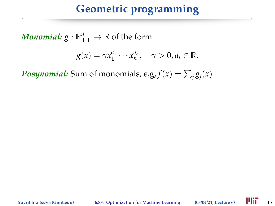$\bm{Monomial:} \ \text{${g}:\mathbb{R}_{++}^n \rightarrow \mathbb{R}$} \ \text{of the form}$ 

$$
g(x) = \gamma x_1^{a_1} \cdots x_n^{a_n}, \quad \gamma > 0, a_i \in \mathbb{R}.
$$

*Posynomial:* Sum of monomials, e.g,  $f(x) = \sum_j g_j(x)$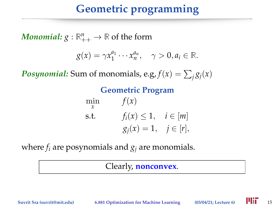$\bm{Monomial:} \ \text{${g}:\mathbb{R}_{++}^n \rightarrow \mathbb{R}$} \ \text{of the form}$ 

$$
g(x) = \gamma x_1^{a_1} \cdots x_n^{a_n}, \quad \gamma > 0, a_i \in \mathbb{R}.
$$

*Posynomial:* Sum of monomials, e.g,  $f(x) = \sum_j g_j(x)$ 

#### **Geometric Program**

$$
\min_{x} \qquad f(x)
$$
\n
$$
\text{s.t.} \qquad f_i(x) \le 1, \quad i \in [m]
$$
\n
$$
g_j(x) = 1, \quad j \in [r],
$$

where  $f_i$  are posynomials and  $g_i$  are monomials.

#### Clearly, **nonconvex**.

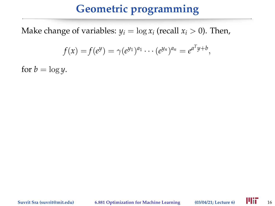Make change of variables:  $y_i = \log x_i$  (recall  $x_i > 0$ ). Then,

$$
f(x) = f(e^y) = \gamma(e^{y_1})^{a_1} \cdots (e^{y_n})^{a_n} = e^{a^T y + b},
$$

for  $b = \log y$ .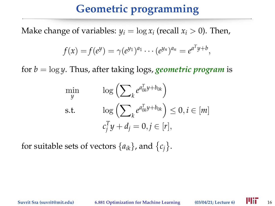Make change of variables:  $y_i = \log x_i$  (recall  $x_i > 0$ ). Then,

$$
f(x) = f(e^y) = \gamma(e^{y_1})^{a_1} \cdots (e^{y_n})^{a_n} = e^{a^T y + b},
$$

for *b* = log *y*. Thus, after taking logs, *geometric program* is

$$
\min_{y} \qquad \log \left( \sum_{k} e^{a_{0k}^T y + b_{0k}} \right)
$$
\n
$$
\text{s.t.} \qquad \log \left( \sum_{k} e^{a_{0k}^T y + b_{0k}} \right) \leq 0, i \in [m]
$$
\n
$$
c_j^T y + d_j = 0, j \in [r],
$$

for suitable sets of vectors  $\{a_{ik}\}\$ , and  $\{c_j\}\$ .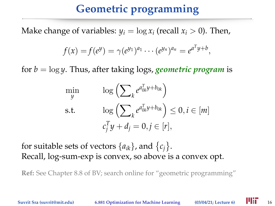Make change of variables:  $y_i = \log x_i$  (recall  $x_i > 0$ ). Then,

$$
f(x) = f(e^y) = \gamma(e^{y_1})^{a_1} \cdots (e^{y_n})^{a_n} = e^{a^T y + b},
$$

for *b* = log *y*. Thus, after taking logs, *geometric program* is

$$
\min_{y} \qquad \log \left( \sum_{k} e^{a_{0k}^T y + b_{0k}} \right)
$$
\n
$$
\text{s.t.} \qquad \log \left( \sum_{k} e^{a_{0k}^T y + b_{0k}} \right) \leq 0, i \in [m]
$$
\n
$$
c_j^T y + d_j = 0, j \in [r],
$$

for suitable sets of vectors  $\{a_{ik}\}\$ , and  $\{c_j\}\$ . Recall, log-sum-exp is convex, so above is a convex opt.

**Ref:** See Chapter 8.8 of BV; search online for "geometric programming"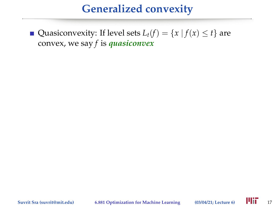Quasiconvexity: If level sets  $L_t(f) = \{x \mid f(x) \le t\}$  are convex, we say *f* is *quasiconvex*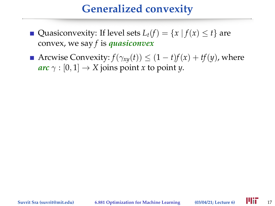- Quasiconvexity: If level sets  $L_t(f) = \{x \mid f(x) \le t\}$  are convex, we say *f* is *quasiconvex*
- Arcwise Convexity:  $f(\gamma_{xy}(t)) \leq (1-t)f(x) + tf(y)$ , where  $arc \gamma : [0, 1] \rightarrow X$  joins point *x* to point *y*.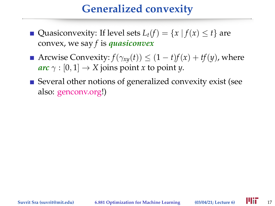- Quasiconvexity: If level sets  $L_t(f) = \{x \mid f(x) \le t\}$  are convex, we say *f* is *quasiconvex*
- Arcwise Convexity:  $f(\gamma_{xy}(t)) \leq (1-t)f(x) + tf(y)$ , where  $arc \gamma : [0, 1] \rightarrow X$  joins point *x* to point *y*.
- Several other notions of generalized convexity exist (see also: [genconv.org!](genconv.org))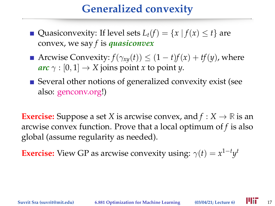- Quasiconvexity: If level sets  $L_t(f) = \{x \mid f(x) \le t\}$  are convex, we say *f* is *quasiconvex*
- Arcwise Convexity:  $f(\gamma_{xy}(t)) \leq (1-t)f(x) + tf(y)$ , where  $arc \gamma : [0, 1] \rightarrow X$  joins point *x* to point *y*.
- Several other notions of generalized convexity exist (see also: [genconv.org!](genconv.org))

**Exercise:** Suppose a set *X* is arcwise convex, and  $f: X \to \mathbb{R}$  is an arcwise convex function. Prove that a local optimum of *f* is also global (assume regularity as needed).

**Exercise:** View GP as arcwise convexity using:  $\gamma(t) = x^{1-t}y^t$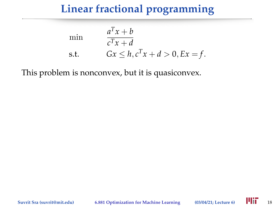## **Linear fractional programming**

min  
\n
$$
\frac{a^T x + b}{c^T x + d}
$$
\ns.t. 
$$
Gx \le h, c^T x + d > 0, Ex = f.
$$

This problem is nonconvex, but it is quasiconvex.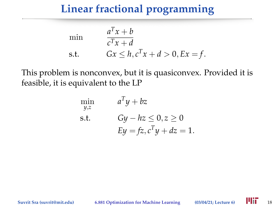#### **Linear fractional programming**

min  
\n
$$
\frac{a^T x + b}{c^T x + d}
$$
\ns.t. 
$$
Gx \le h, c^T x + d > 0, Ex = f.
$$

This problem is nonconvex, but it is quasiconvex. Provided it is feasible, it is equivalent to the LP

$$
\min_{y,z} \qquad a^T y + bz
$$
\n
$$
\text{s.t.} \qquad Gy - hz \le 0, z \ge 0
$$
\n
$$
Ey = fz, c^T y + dz = 1.
$$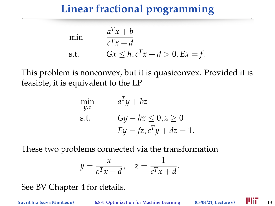## **Linear fractional programming**

min  
\n
$$
\frac{a^T x + b}{c^T x + d}
$$
\ns.t. 
$$
Gx \le h, c^T x + d > 0, Ex = f.
$$

This problem is nonconvex, but it is quasiconvex. Provided it is feasible, it is equivalent to the LP

$$
\min_{y,z} \qquad a^T y + bz
$$
\n
$$
\text{s.t.} \qquad Gy - hz \le 0, z \ge 0
$$
\n
$$
Ey = fz, c^T y + dz = 1.
$$

These two problems connected via the transformation

$$
y = \frac{x}{c^T x + d}, \quad z = \frac{1}{c^T x + d}.
$$

See BV Chapter 4 for details.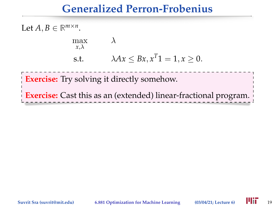#### **Generalized Perron-Frobenius**

Let  $A, B \in \mathbb{R}^{m \times n}$ .

$$
\max_{x,\lambda} \qquad \lambda
$$
  
s.t. 
$$
\lambda Ax \leq Bx, x^T 1 = 1, x \geq 0.
$$

**Exercise:** Try solving it directly somehow.

**Exercise:** Cast this as an (extended) linear-fractional program.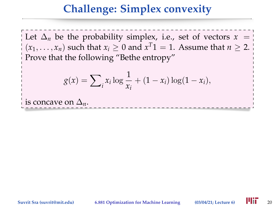#### **Challenge: Simplex convexity**

Let  $\Delta_n$  be the probability simplex, i.e., set of vectors  $x =$  $(x_1, \ldots, x_n)$  such that  $x_i \geq 0$  and  $x^T1 = 1$ . Assume that  $n \geq 2$ . Prove that the following "Bethe entropy"

$$
g(x) = \sum_{i} x_i \log \frac{1}{x_i} + (1 - x_i) \log(1 - x_i),
$$

is concave on  $\Delta_n$ .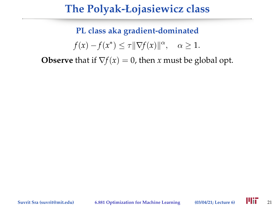#### **The Polyak-Łojasiewicz class**

**PL class aka gradient-dominated**  $f(x) - f(x^*) \leq \tau \|\nabla f(x)\|^{\alpha}, \quad \alpha \geq 1.$ 

**Observe** that if  $\nabla f(x) = 0$ , then *x* must be global opt.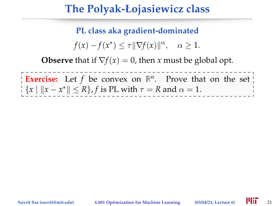#### **The Polyak-Łojasiewicz class**

**PL class aka gradient-dominated**

 $f(x) - f(x^*) \leq \tau \|\nabla f(x)\|^{\alpha}, \quad \alpha \geq 1.$ 

**Observe** that if  $\nabla f(x) = 0$ , then *x* must be global opt.

**Exercise:** Let  $f$  be convex on  $\mathbb{R}^n$ . Prove that on the set  ${x \mid ||x - x^*|| \le R}, f$  is PL with  $\tau = R$  and  $\alpha = 1$ .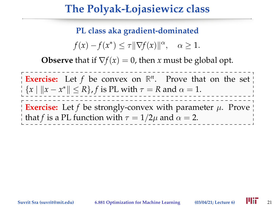#### **The Polyak-Łojasiewicz class**

**PL class aka gradient-dominated**

 $f(x) - f(x^*) \leq \tau \|\nabla f(x)\|^{\alpha}, \quad \alpha \geq 1.$ 

**Observe** that if  $\nabla f(x) = 0$ , then *x* must be global opt.

**Exercise:** Let  $f$  be convex on  $\mathbb{R}^n$ . Prove that on the set  ${x \mid ||x - x^*|| \le R}, f$  is PL with  $\tau = R$  and  $\alpha = 1$ .

**Exercise:** Let  $f$  be strongly-convex with parameter  $\mu$ . Prove that *f* is a PL function with  $\tau = 1/2\mu$  and  $\alpha = 2$ .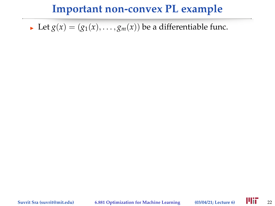I Let  $g(x) = (g_1(x), \ldots, g_m(x))$  be a differentiable func.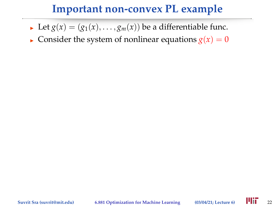- I Let  $g(x) = (g_1(x), \ldots, g_m(x))$  be a differentiable func.
- **Consider the system of nonlinear equations**  $g(x) = 0$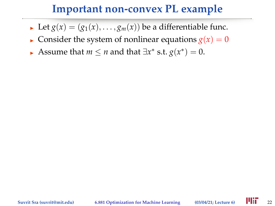- I Let  $g(x) = (g_1(x), \ldots, g_m(x))$  be a differentiable func.
- Consider the system of nonlinear equations  $g(x) = 0$
- Assume that *m*  $\leq$  *n* and that  $\exists x^*$  s.t.  $g(x^*) = 0$ .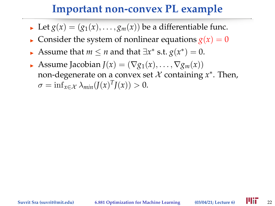- I Let  $g(x) = (g_1(x), \ldots, g_m(x))$  be a differentiable func.
- Consider the system of nonlinear equations  $g(x) = 0$
- Assume that *m*  $\leq$  *n* and that  $\exists x^*$  s.t.  $g(x^*) = 0$ .
- Assume Jacobian  $J(x) = (\nabla g_1(x), \ldots, \nabla g_m(x))$ non-degenerate on a convex set X containing *x* ∗ . Then,  $\sigma = \inf_{x \in \mathcal{X}} \lambda_{min}(J(x)^{T}J(x)) > 0.$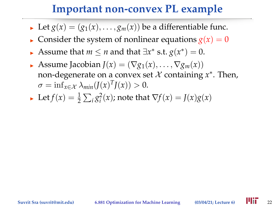- In Let  $g(x) = (g_1(x), \ldots, g_m(x))$  be a differentiable func.
- **Consider the system of nonlinear equations**  $g(x) = 0$
- Assume that *m*  $\leq$  *n* and that  $\exists x^*$  s.t.  $g(x^*) = 0$ .
- **Assume Jacobian**  $J(x) = (\nabla g_1(x), \dots, \nabla g_m(x))$ non-degenerate on a convex set X containing *x* ∗ . Then,  $\sigma = \inf_{x \in \mathcal{X}} \lambda_{min}(J(x)^{T}J(x)) > 0.$
- ► Let  $f(x) = \frac{1}{2} \sum_i g_i^2(x)$ ; note that  $\nabla f(x) = J(x)g(x)$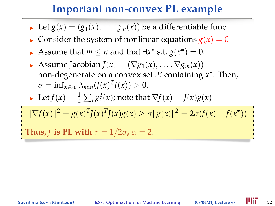- I Let  $g(x) = (g_1(x), \ldots, g_m(x))$  be a differentiable func.
- **Consider the system of nonlinear equations**  $g(x) = 0$
- Assume that *m*  $\leq$  *n* and that  $\exists x^*$  s.t.  $g(x^*) = 0$ .
- **Assume Jacobian**  $J(x) = (\nabla g_1(x), \dots, \nabla g_m(x))$ non-degenerate on a convex set X containing *x* ∗ . Then,  $\sigma = \inf_{x \in \mathcal{X}} \lambda_{min}(J(x)^{T}J(x)) > 0.$

• Let 
$$
f(x) = \frac{1}{2} \sum_i g_i^2(x)
$$
; note that  $\nabla f(x) = J(x)g(x)$ 

$$
\|\nabla f(x)\|^2 = g(x)^T J(x)^T J(x) g(x) \ge \sigma \|g(x)\|^2 = 2\sigma(f(x) - f(x^*))
$$
  
Thus, f is PL with  $\tau = 1/2\sigma$ ,  $\alpha = 2$ .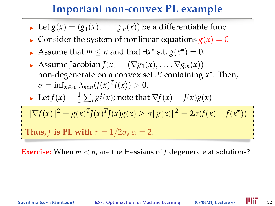- I Let  $g(x) = (g_1(x), \ldots, g_m(x))$  be a differentiable func.
- **Consider the system of nonlinear equations**  $g(x) = 0$
- Assume that *m*  $\leq$  *n* and that  $\exists x^*$  s.t.  $g(x^*) = 0$ .
- **Assume Jacobian**  $J(x) = (\nabla g_1(x), \dots, \nabla g_m(x))$ non-degenerate on a convex set X containing *x* ∗ . Then,  $\sigma = \inf_{x \in \mathcal{X}} \lambda_{min}(J(x)^{T}J(x)) > 0.$
- ► Let  $f(x) = \frac{1}{2} \sum_i g_i^2(x)$ ; note that  $\nabla f(x) = J(x)g(x)$

$$
\|\nabla f(x)\|^2 = g(x)^T f(x)^T f(x) g(x) \ge \sigma \|g(x)\|^2 = 2\sigma(f(x) - f(x^*))
$$
  
Thus, f is PL with  $\tau = 1/2\sigma$ ,  $\alpha = 2$ .

**Exercise:** When *m* < *n*, are the Hessians of *f* degenerate at solutions?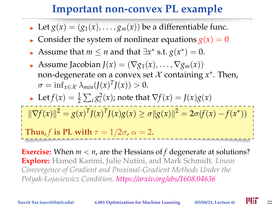- I Let  $g(x) = (g_1(x), \ldots, g_m(x))$  be a differentiable func.
- **Consider the system of nonlinear equations**  $g(x) = 0$
- Assume that *m*  $\leq$  *n* and that  $\exists x^*$  s.t.  $g(x^*) = 0$ .
- **Assume Jacobian**  $J(x) = (\nabla g_1(x), \dots, \nabla g_m(x))$ non-degenerate on a convex set X containing *x* ∗ . Then,  $\sigma = \inf_{x \in \mathcal{X}} \lambda_{min}(J(x)^{T}J(x)) > 0.$
- ► Let  $f(x) = \frac{1}{2} \sum_i g_i^2(x)$ ; note that  $\nabla f(x) = J(x)g(x)$

$$
\|\nabla f(x)\|^2 = g(x)^T J(x)^T J(x) g(x) \ge \sigma \|g(x)\|^2 = 2\sigma(f(x) - f(x^*))
$$
  
Thus, f is PL with  $\tau = 1/2\sigma$ ,  $\alpha = 2$ .

**Exercise:** When *m* < *n*, are the Hessians of *f* degenerate at solutions? **Explore:** Hamed Karimi, Julie Nutini, and Mark Schmidt. *Linear Convergence of Gradient and Proximal-Gradient Methods Under the Polyak-Łojasiewicz Condition*. *<https://arxiv.org/abs/1608.04636>*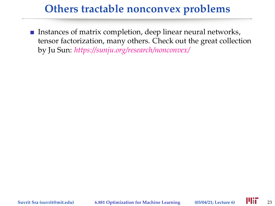**Instances of matrix completion, deep linear neural networks,** tensor factorization, many others. Check out the great collection by Ju Sun: *<https://sunju.org/research/nonconvex/>*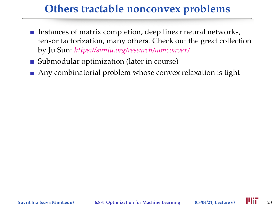- **Instances of matrix completion, deep linear neural networks,** tensor factorization, many others. Check out the great collection by Ju Sun: *<https://sunju.org/research/nonconvex/>*
- Submodular optimization (later in course)
- Any combinatorial problem whose convex relaxation is tight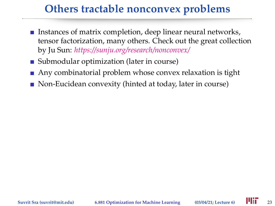- **Instances of matrix completion, deep linear neural networks,** tensor factorization, many others. Check out the great collection by Ju Sun: *<https://sunju.org/research/nonconvex/>*
- Submodular optimization (later in course)
- Any combinatorial problem whose convex relaxation is tight
- Non-Eucidean convexity (hinted at today, later in course)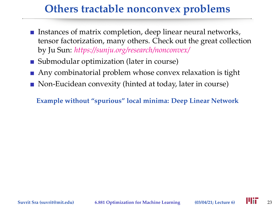- **Instances of matrix completion, deep linear neural networks,** tensor factorization, many others. Check out the great collection by Ju Sun: *<https://sunju.org/research/nonconvex/>*
- Submodular optimization (later in course)
- Any combinatorial problem whose convex relaxation is tight
- Non-Eucidean convexity (hinted at today, later in course)

**Example without "spurious" local minima: Deep Linear Network**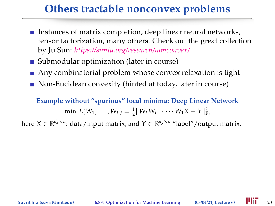- Instances of matrix completion, deep linear neural networks, tensor factorization, many others. Check out the great collection by Ju Sun: *<https://sunju.org/research/nonconvex/>*
- Submodular optimization (later in course)
- Any combinatorial problem whose convex relaxation is tight
- Non-Eucidean convexity (hinted at today, later in course)

**Example without "spurious" local minima: Deep Linear Network**  $\min L(W_1, \ldots, W_L) = \frac{1}{2} ||W_L W_{L-1} \cdots W_1 X - Y||_F^2,$ 

here  $X \in \mathbb{R}^{d_x \times n}$ : data/input matrix; and  $Y \in \mathbb{R}^{d_y \times n}$  "label"/output matrix.